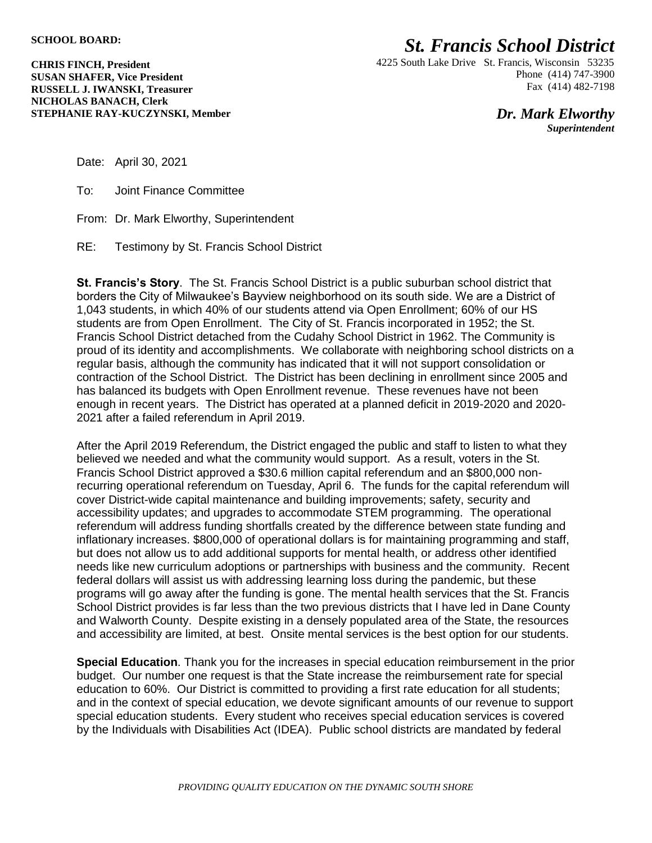## *St. Francis School District*

**CHRIS FINCH, President SUSAN SHAFER, Vice President RUSSELL J. IWANSKI, Treasurer NICHOLAS BANACH, Clerk STEPHANIE RAY-KUCZYNSKI, Member** 4225 South Lake Drive St. Francis, Wisconsin 53235 Phone (414) 747-3900 Fax (414) 482-7198

> *Dr. Mark Elworthy Superintendent*

Date: April 30, 2021

To: Joint Finance Committee

From: Dr. Mark Elworthy, Superintendent

RE: Testimony by St. Francis School District

**St. Francis's Story**. The St. Francis School District is a public suburban school district that borders the City of Milwaukee's Bayview neighborhood on its south side. We are a District of 1,043 students, in which 40% of our students attend via Open Enrollment; 60% of our HS students are from Open Enrollment. The City of St. Francis incorporated in 1952; the St. Francis School District detached from the Cudahy School District in 1962. The Community is proud of its identity and accomplishments. We collaborate with neighboring school districts on a regular basis, although the community has indicated that it will not support consolidation or contraction of the School District. The District has been declining in enrollment since 2005 and has balanced its budgets with Open Enrollment revenue. These revenues have not been enough in recent years. The District has operated at a planned deficit in 2019-2020 and 2020- 2021 after a failed referendum in April 2019.

After the April 2019 Referendum, the District engaged the public and staff to listen to what they believed we needed and what the community would support. As a result, voters in the St. Francis School District approved a \$30.6 million capital referendum and an \$800,000 nonrecurring operational referendum on Tuesday, April 6. The funds for the capital referendum will cover District-wide capital maintenance and building improvements; safety, security and accessibility updates; and upgrades to accommodate STEM programming. The operational referendum will address funding shortfalls created by the difference between state funding and inflationary increases. \$800,000 of operational dollars is for maintaining programming and staff, but does not allow us to add additional supports for mental health, or address other identified needs like new curriculum adoptions or partnerships with business and the community. Recent federal dollars will assist us with addressing learning loss during the pandemic, but these programs will go away after the funding is gone. The mental health services that the St. Francis School District provides is far less than the two previous districts that I have led in Dane County and Walworth County. Despite existing in a densely populated area of the State, the resources and accessibility are limited, at best. Onsite mental services is the best option for our students.

**Special Education**. Thank you for the increases in special education reimbursement in the prior budget. Our number one request is that the State increase the reimbursement rate for special education to 60%. Our District is committed to providing a first rate education for all students; and in the context of special education, we devote significant amounts of our revenue to support special education students. Every student who receives special education services is covered by the Individuals with Disabilities Act (IDEA). Public school districts are mandated by federal